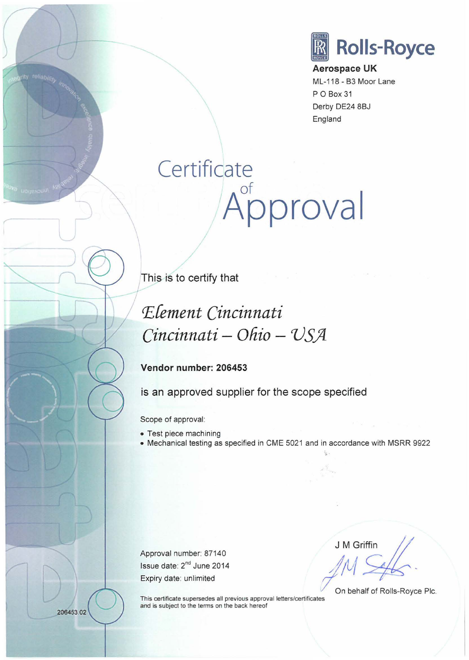

**Aerospace UK**  ML-118- 83 Moor Lane P 0 Box 31 Derby DE24 8BJ England

## **Certificate**  of **Approval**

**This is to certify that** 

## ~Cement *Cincinnati Cincinnati- Ofiio* **-** *VS.Jl*

## **Vendor number: 206453**

**is an approved supplier for the scope specified** 

Scope of approval:

• Test piece machining

• Mechanical testing as specified in CME 5021 and in accordance with MSRR 9922

Approval number: 87140 Issue date: 2"d June 2014

J M Griffin

Expiry date: unlimited ...<br>
This certificate supersedes all previous approval letters/certificates ... On behalf of Rolls-Royce Plc. and is subject to the terms on the back hereof

206453.02